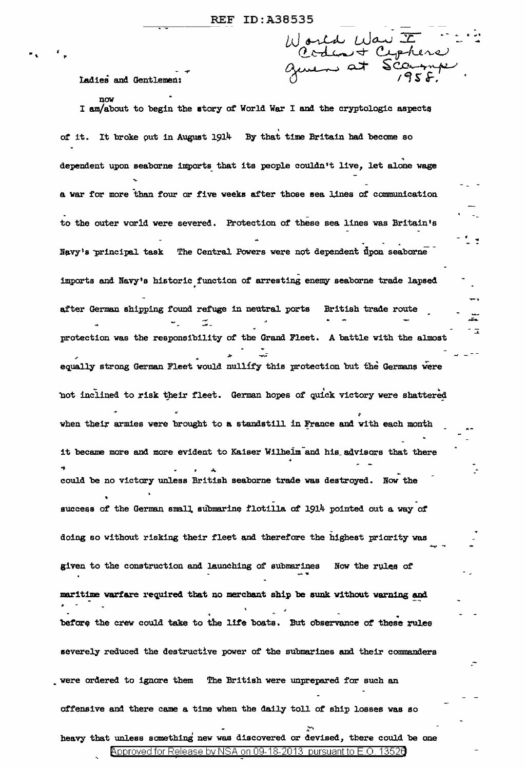Ladies and Gentlemen:

now

 $\mathbf{r}$   $\mathbf{r}$   $\mathbf{r}$   $\mathbf{r}$ 

,.

World War II .  $\ddot{\phantom{1}}$ ... geven at

 $\overline{1}$ 

I am/about to begin the story of World War I and the cryptologic aspects of it. It broke out in August 1914 By that time Britain had become so dependent upon seaborne imports that its people couldn't live, let alone wage a war for more than four or five weeks after those sea lines of communication to the outer world were severed. Protection of these sea lines was Britain's .<br>- 1 . Navy's principal task The Central Powers were not dependent upon seaborne imports and Navy's historic function of arresting enemy seaborne trade lapsed e, after German shipping found refuge in neutral ports -- British trade route ست<br>حالہ  $\mathbb{Z}_+$ protection was the responsibility of the Grand Fleet. A battle with the almost *r* <sup>~</sup> equally strong German Fleet would nullify this protection but the Germans were not inclined to risk their fleet. German hopes of quick victory were shattered when their armies were brought to a standstill in France and with each month it became more and more evident to Kaiser Wilhelm and his advisors that there could be no victory unless British seaborne trade was destroyed. Now the success of the German small submarine flotilla of 1914 pointed out a way of doing so without risking their fleet and therefore the bighest priority was given to the construction and launching of submarines . Now the rules of maritime warfare required that no merchant ship be sunk without warning and • w before the crew could take to the life boats. But observance of these rules severely reduced the destructive power of the submarines and their commanders were ordered to ignore them The British were unprepared for such an offensive and there came a time when the daily toll of ship losses was so  $\frac{1}{2}$ . heavy that unless something new was discovered or devised, there could be one Approved for Release by NSA on 09-18-2013 pursuant to E.O. 13526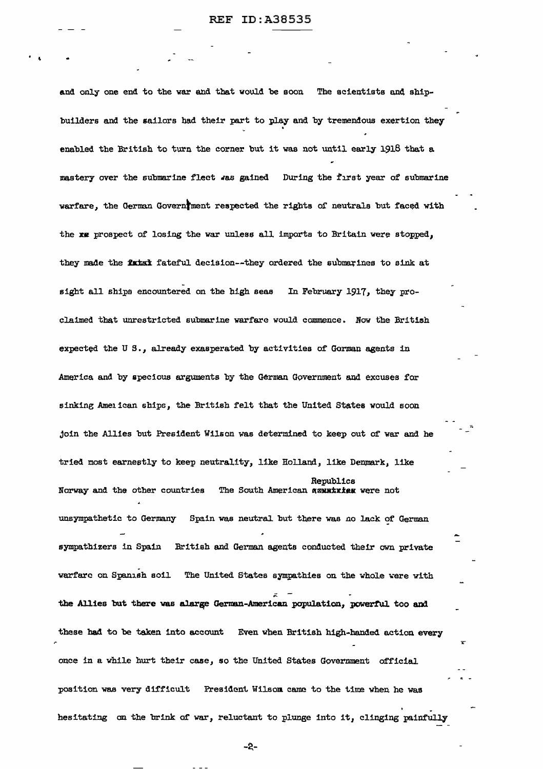$\cdot$   $\cdot$ 

and only one end to the war and that would be soon The scientists and shipbuilders and the sailors had their part to play and by tremendous exertion they • enabled the British to turn the corner but it was not until early 1918 that a mastery over the submarine fleet was gained During the first year of submarine warfare, the German Governiment respected the rights of neutrals but faced with the xx prospect of losing the war unless all imports to Britain were stopped, they made the fatat fateful decision--they ordered the submarines to sink at sight all ships encountered on the high seas In February 1917, they proclaimed that unrestricted submarine warfare would commence. Now the British expected the U S., already exasperated by activities of Gorman agents in America and by specious arguments by the German Government and excuses for sinking Amenican ships, the British felt that the United States would soon join the Allies but President Wilson was determined to keep out of' war and he tried most earnestly to keep neutrality, like Holland, like Denmark, like Republics Norway and the other countries The South American wexustate were not unsympathetic to Germany Spain was neutral but there was no lack of German  $\tilde{=}$ sympathizers in Spain British and German agents conducted their own private warfare on Spanish soil. The United States sympathies on the whole were with the Allies but there was alarge German-American population, powerful too and these had to be taken into account Even when British high-handed action every once in a while hurt their case, so the United States Government official position was very difficult President Wilsom came to the time when he was hesitating on the brink of war, reluctant to plunge into it, clinging painfully

-a-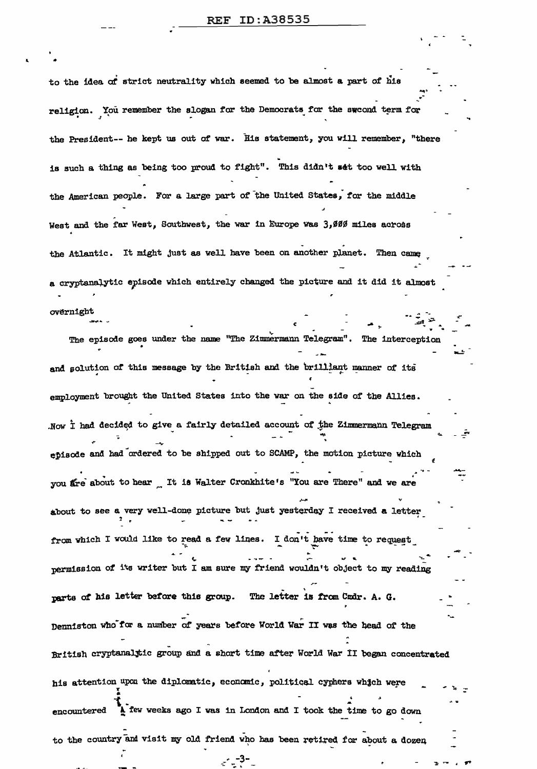to the idea of strict neutrality which seemed to be almost a part of his religion. You remember the slogan for the Democrats for the swoond term for the President-- he kept us out of war. His statement, you will remember, "there is such a thing as being too proud to fight". This didn't set too well with the American people. For a large part of the United States, for the middle West and the far West, Southwest, the war in Europe was 3,000 miles across the Atlantic. It might just as well have been on another planet. Then came a cryptanalytic episode which entirely changed the picture and it did it almost

overnight

The episode goes under the name "The Zimmermann Telegram". The interception and solution of this message by the British and the brilliant manner of its employment brought the United States into the war on the side of the Allies. Now I had decided to give a fairly detailed account of the Zimmermann Telegram episode and had ordered to be shipped out to SCAMP, the motion picture which you are about to hear tt is Walter Cronkhite's "You are There" and we are about to see a very well-done picture but just yesterday I received a letter from which I would like to read a few lines. I don't have time to request permission of its writer but I am sure my friend wouldn't object to my reading parts of his letter before this group. The letter is from Undr. A. G. Denniston who for a number of years before World War II was the head of the British cryptanalytic group and a short time after World War II began concentrated his attention upon the diplomatic, economic, political cyphers which were I few weeks ago I was in London and I took the time to go down encountered to the country and visit my old friend who has been retired for about a dozen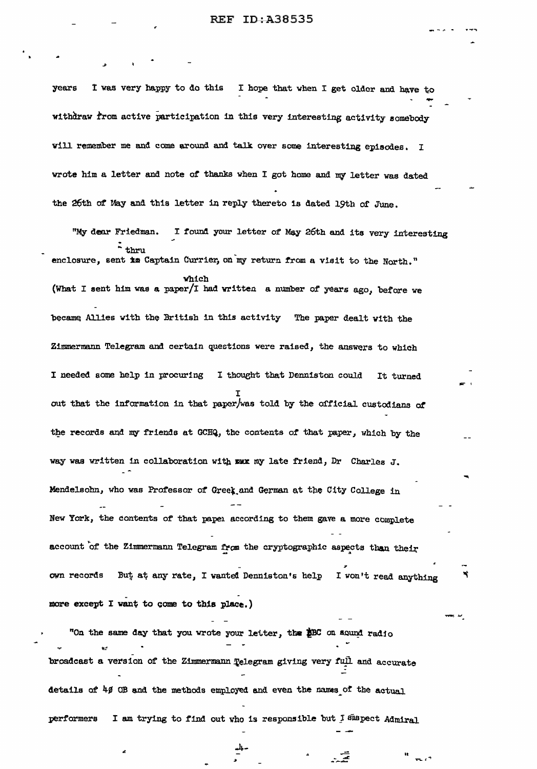I was very happy to do this I hope that when I get older and have to vears withdraw from active participation in this very interesting activity somebody will remember me and come around and talk over some interesting episodes. I wrote him a letter and note of thanks when I got home and my letter was dated the 26th of May and this letter in reply thereto is dated 19th of June.

"My dear Friedman. I found your letter of May 26th and its very interesting  $\frac{1}{2}$  thru enclosure, sent im Captain Currier, on my return from a visit to the North." which (What I sent him was a paper/I had written a number of years ago, before we became Allies with the British in this activity The paper dealt with the Zimmermann Telegram and certain questions were raised, the answers to which I needed some help in procuring I thought that Denniston could It turned out that the information in that paper/was told by the official custodians of the records and my friends at GCHQ, the contents of that paper, which by the way was written in collaboration with mux my late friend, Dr Charles J. Mendelsohn, who was Professor of Greek and German at the City College in New York, the contents of that paper according to them gave a more complete account of the Zimmermann Telegram from the cryptographic aspects than their own records But at any rate, I wanted Denniston's help I won't read anything more except I want to come to this place.)

"On the same day that you wrote your letter, the \$BC on sound radio broadcast a version of the Zimmermann Telegram giving very full and accurate details of 40 OB and the methods employed and even the names of the actual I am trying to find out who is responsible but I suspect Admiral performers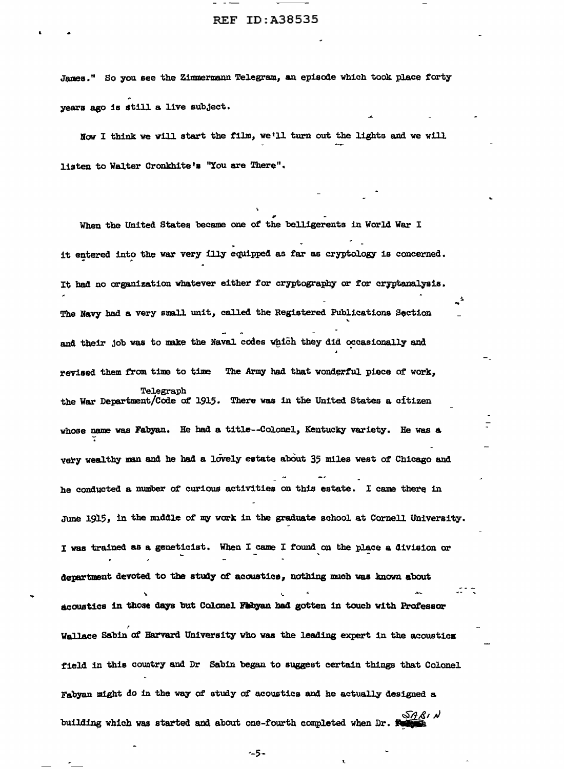James." So you see the Zimmermann Telegram, an episode which took place forty years ago is still a live subject.

•

Now I think we will start the film, we• 11 turn out the lights and we will listen to Walter Cronkhite's "You are There".

When the United States became one of the belligerents in World War I it entered into the war very illy equipped as far as cryptology is concerned. It had no organization whatever either for cryptography or for cryptanalysis. The Navy had a very small unit, called the Registered Publications Section and their job was to make the Naval codes which they did occasionally and revised them from time to time The Army had that wonderful piece of work, Telegraph the War Department/Code of 1915. There was in the United States a oftizen whose name was Fabyan. He had a title--Colonel, Kentucky variety. He was a very wealthy man and he had a lovely estate about 35 miles west of Chicago and he conducted a number of curious activities on this estate. I came there in June 1915, in the middle of my work in the graduate school at Cornell University. I was trained as a geneticist. When I came I found on the place a division or department devoted to the atud;y *ot* acoustics, nothing mucb was known about ಭಾಗದ acoustics in those days but Colonel Fabyan had gotten in touch with Professor Wallace Sabin of Harvard University who was the leading expert in the acoustics field in this country and Dr Sabin began to suggest certain things that Colonel Fabyan might do in the way of study of acoustics and he actually designed a *§A&1* building which was started and about one-fourth completed when Dr. **Reference** 

~-5-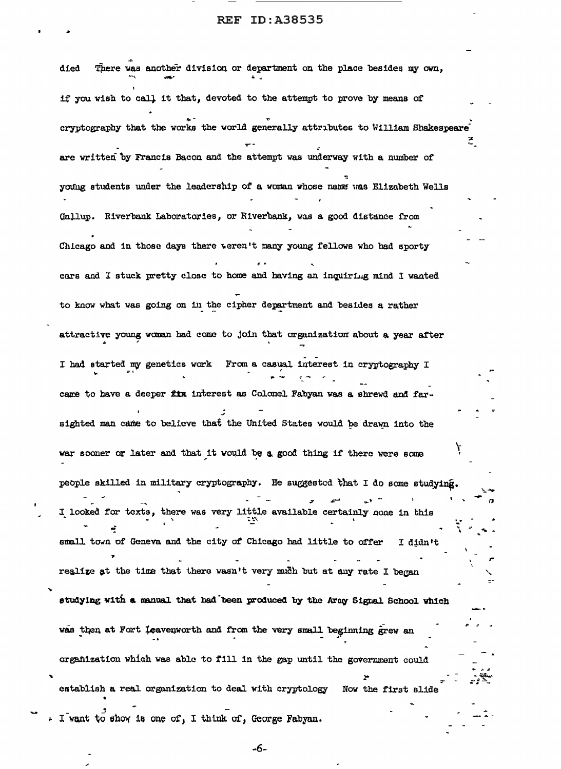There was another division or department on the place besides my own, died if you wish to call it that, devoted to the attempt to prove by means of cryptography that the works the world generally attributes to William Shakespeare are written by Francis Bacon and the attempt was underway with a number of young students under the leadership of a woman whose name was Elizabeth Wells Gallup. Riverbank Laboratories, or Riverbank, was a good distance from Chicago and in those days there weren't many young fellows who had sporty cars and I stuck pretty close to home and having an inquiring mind I wanted to know what was going on in the cipher department and besides a rather attractive young woman had come to join that organization about a year after I had started my genetics work From a casual interest in cryptography I care to have a deeper fin interest as Colonel Fabyan was a shrewd and farsighted man came to believe that the United States would be drawn into the war sooner or later and that it would be a good thing if there were some people skilled in military cryptography. He suggested that I do some studying. I looked for texts, there was very little available certainly none in this small town of Geneva and the city of Chicago had little to offer I didn't realize at the time that there wasn't very much but at any rate I began studying with a manual that had been produced by the Army Signal School which was then at Fort leavenworth and from the very small beginning grew an organization which was able to fill in the gap until the government could establish a real organization to deal with cryptology Now the first slide I want to show is one of, I think of, George Fabyan.

-6-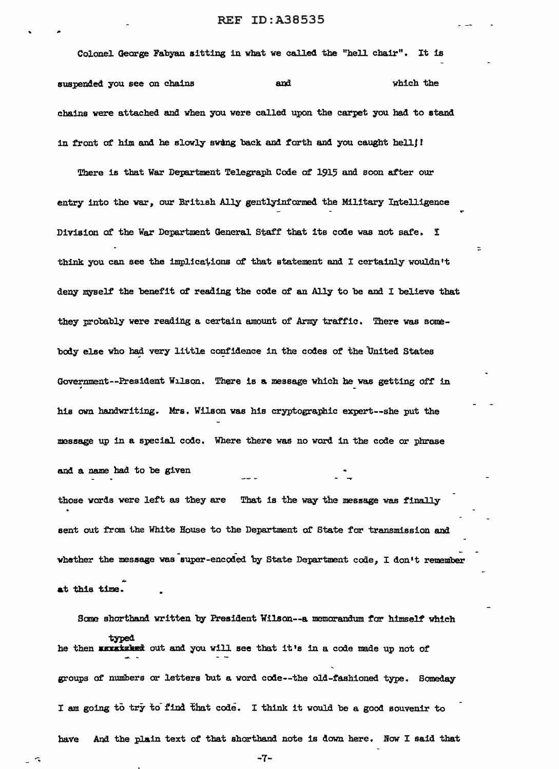Colonel. George Fabyan sitting in what we called the "hell chair". It is suspended you see on chains and and which the chains were attached and when you were called upon the carpet you had to stand in front of him and he slowly swung back and forth and you caught hell!

There is that War Department Telegraph Code of 1915 and soon after our entry into the war, our British Ally gentlyinformed the Military Intelligence Division of the War Department General Staff that its code was not safe. I think you can see the implications of that statement and I certainly wouldn't deny myself the benefit of reading the code of an Ally to be and I believe that they probably were reading a certain amount of Army traffic. There was somebody else who had very little confidence in the codes of the United States Government--President Wilson. There is a message which he was getting off in his own handwriting. Mrs. Wilson was his cryptographic expert--she put the message up in a special code. Where there was no word in the code or phrase and a name had to be given those words were left as they are That is the way the message was finally sent out from the White House to the Department of State for transmission and

whether the message was super-encoded by State Department code, I don't remember at this time.

Some shorthand written by President Wilson--a memorandum for himself which typed he then **sexatsled** out and you will see that it's in a code made up not of groups of' numbers or letters but a word ccde--the old-fashioned type. Someday I am going to try to find that code. I think it would be a good souvenir to have And the plain text of that shorthand note is down here. Now I said that

 $\sim$  -7-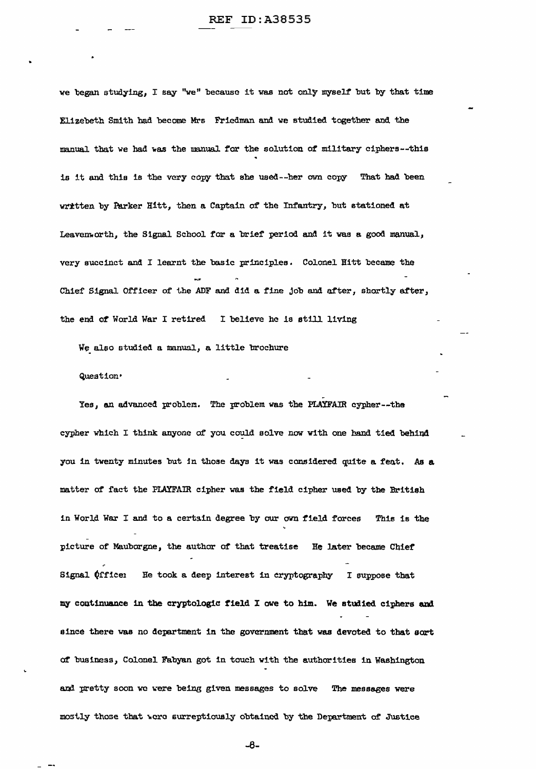we began studying, I say "we" because it was not only myself but by that time Elizebeth Smith had become Mrs 'Friedman and we studied together and the manual that we had was the manual for the solution of military ciphers--this is it and this is the very copy that she used--her own copy That had been written by Parker Hitt, then a Captain of the Infantry, but stationed at Leavenworth, the Signal School for a brief period and it was a good manual, very succinct and I learnt the basic principles. Co1one1 Hitt became the Chief Signal Officer of the ADF and did a fine job and after, shortly after, the end of World War I retired I believe he is still living

We also studied a manual, a little brochure

# Question·

Yes, an advanced problem. The problem was the PLAYFAIR cypher--the cypher which I think anyone of you could solve now with one hand tied behind you in twenty minutes but in those days it was considered quite a feat. As a matter of fact the PIAYFAIR cipher was the field cipher used by the British in World War I and to a certain degree by our own field forces This is the picture of Mauborgne, the author of that treatise He later became Chief Signal  $&$  (fice1 He took a deep interest in cryptography I suppose that my continuance in the cryptologic field I owe to him. We studied ciphers and since there was no department in the government that was devoted to that sort at business, Colonel Fabyan got in touch with the authorities in Washington and pretty soon we were being given messages to solve The messages were mostly those that were surreptiously obtained by the Department of Justice

-8-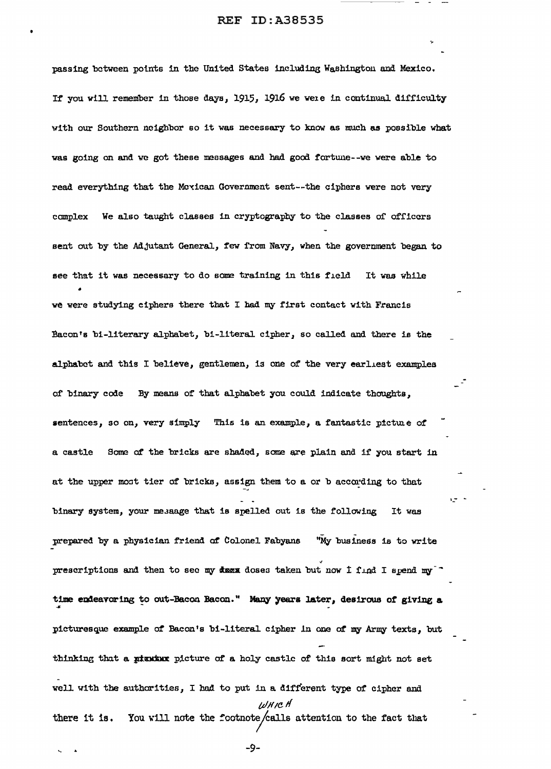.,.

passing between potnts in the United States including Washington and Mexico. If you will remember in those days, 1915, 1916 we were in continual difficulty with our Southern neighbor so it was necessary to know as much as possible what was going on and we got these measages and had good tortune--we were able to read everything that the Mcxican Government sent--the ciphers were not very complex We also taught classes in cryptography to the classes of officers sent out by the Adjutant General, few from Navy, when the govermnent began to see that it was necessary to do some training in this field It was while • we were studying ciphers there that I bad my first contact with Francis Bacon's bi-literary alphabet, bi-literal cipher, so called and there is the alphabet and this I believe, gentlemen, is one of the very earliest examples of binary code By means of that alphabet you could indicate thoughts, sentences, so on, very simply This is an example, a fantastic picture of a castle Some of the bricks are shaded, some are plain and if you start in at the upper most tier of bricks, assign them to a or b according to that binary system, your me.saage that is spelled out is the following It was prepared by a physician friend of Colonel Fabyans "My business is to write prescriptions and then to sec my deex doses taken but now I find I spend my<sup>-</sup> time endeavoring to out-Bacon Bacon." Many years later, desirous of giving a \*<br>The emerical management packet. Many years reachpicturesque example of Bacon's bi-literal cipher in one of *my* Army texts, but thinking that a pixnix picture of a holy castle of this sort might not set well with the authorities, I hod to put in a different type of cipher and tv!f *1e.* If there it is. You will note the footnote/calls attention to the fact that ?.i\_- -

-9-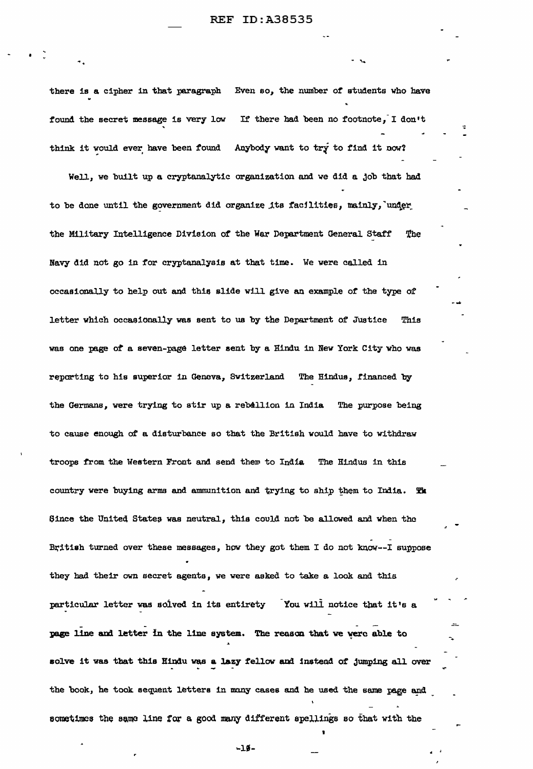there is a cipher in that paragraph Even so, the number of students who have found the secret message is very low If there had been no footnote, I don't ~ ~ think it would ever, have been found Anybody want to try to find it now?

•

Well, we built up a cryptanalytic organization and we did a job that had to be done until the government did organize its facilities, mainly, under the Military Intelligence Division of the War Department General Staff 'The Navy did not go in for cryptanalysie at that time. We were called in occasionally to help out and this slide will give an example of the type of letter which occasionally was sent to us by the Department of Justice This was one page *ot* a seven-page letter sent by a Hindu in New York City 'Who was reporting to his superior in Geneva, Switzerland The Hindus, financed by the Germans, were trying to stir up a reballion in India The purpose being to cause enough of a disturbance so that the British would have to withdraw troops from the Western Front and send them to India The Hindus in this country were buying arms and ammunition and trying to ship them to India. The Since the United States was neutral, this could not be allowed and when the British turned over these messages, how they got them I do not know--I suppose they had their own secret agents, we were asked to take a look and this particular letter was soived in its entirety You wili notice tbat it's a page line and letter in the line system. The reason that we were able to solve it was that this Hindu was a lazy fellow and instead of jumping all over the book, he took sequent letters in many cases and he used the same page and sometimes the same line for a good many different spellings so that with the

... 11- . .

I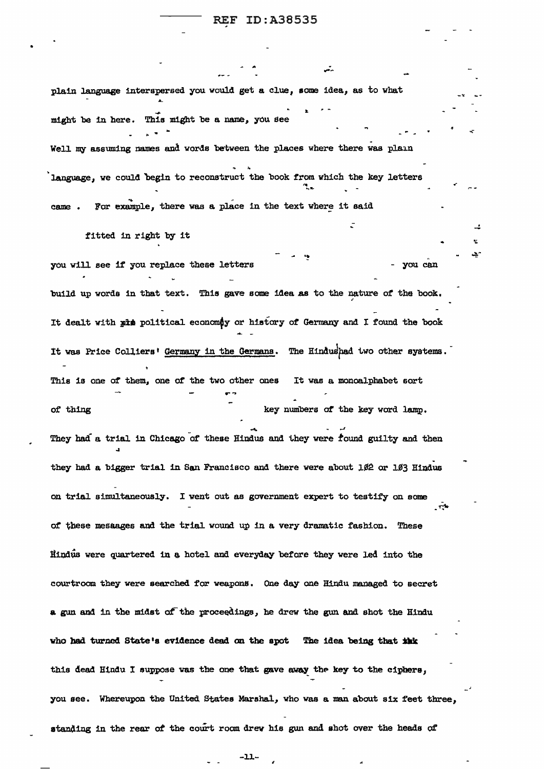.<br>.. قلي

•

plain language interspersed you would get a clue, some idea, as to what ... might be in here. This might be a *name,* you see Well my assuming names and words between the places where there was plain language, we could begin to reconstruct the book from which the key letters came . For example, there was a place in the text where it said fitted in right by it you will see if you replace these letters - you can build up words in that text. This gave some idea as to the nature *ot* the book, ' It dealt with pis political economy or history of Germany and I found the book .... - It was Price Colliers' Germany in the Germana. The Hindushad two other systems. This is one of them, one *or* the two other ones It was a monoalphabet sort of thing  $key$  numbers of the key word lamp. ..... *.,J*  They had a trial in Chicago of these Hindus and they were found guilty and then they had a bigger trial in San Francisco and there were about  $1/2$  or  $1/3$  Hindus on trial simultaneously. I went out as government expert to testify on some of these mesaages and the trial wound up in a very dramatic fashion. These Hindus were quartered in a hotel and everyday before they were led into the courtroom they were searched for weapons • One day one Hindu managed to secret a gun and in the midst of the proceedings, he drew the gun and shot the Hindu who had turned State's evidence dead on the spot The idea being that this this dead Hindu I suppose was the one that gave away the key to the ciphers, you see. Whereupon the United States Marshal, who was a man about six feet three, standing in the rear of the court room drew his gun and shot over the heads of

-11-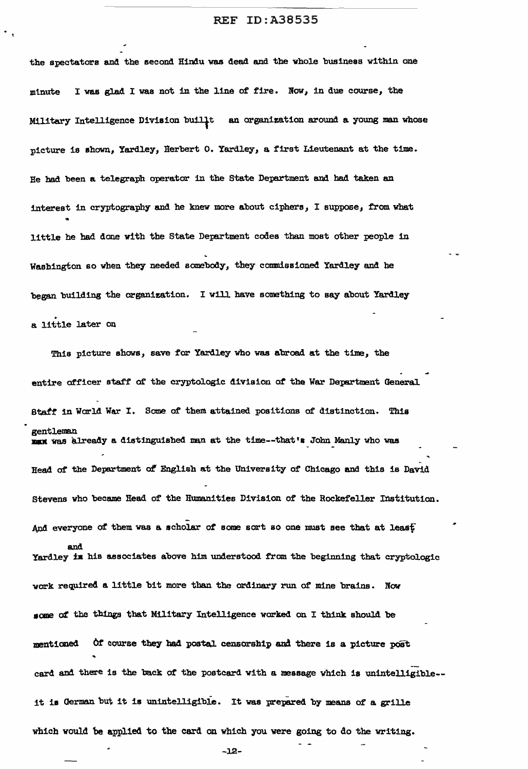the spectators and the second Hindu was dead and the whole business within one minute I was glad I was not in the line of fire. Now, in due course, the Military Intelligence Division buill<sub>t</sub> an organization around a young man whose picture is shown, Yardley, Herbert O. Yardley, a first Lieutenant at the time. Re had been a telegraph operator in the State Department and had taken an interest in cryptography and he knew more about ciphere, ! suppose, from what .. little he had done with the State Department codes than most other people in Washington so when they needed somebody, they commissioned Yardley and he began building the organization. I will have something to say about Yardley . a little later on

This picture shows, save for Yardley who was abroad at the time, the entire officer staff of the cryptologic division of the War Department General Btaf':t in World War I. Some of them attained positions *at* distinction. This gentleman max was already a distinguished man at the time--that's John Manly who was Head of the Department of English at the University of Chicago and this is David Stevens who became Read of the Humanities Division of' the Rockefeller Institution. And everyone of them was a scholar of some sort so one must see that at leas<sup>t</sup> and Yardley is his associates above him understood from the beginning that cryptologic work required a little bit more than the ordinary run of mine brains. Now **eome** *ot* the tbinga that Military Intelligence worked on I think should be mentioned Of course they had postal censorship and there is a picture post .. card and there is the back of the postcard with a message which is unintelligible-it is German but it is unintelligible. It was prepared by means of a grille which would 'be applied to the card on which you were going to do the writing.

-J.2-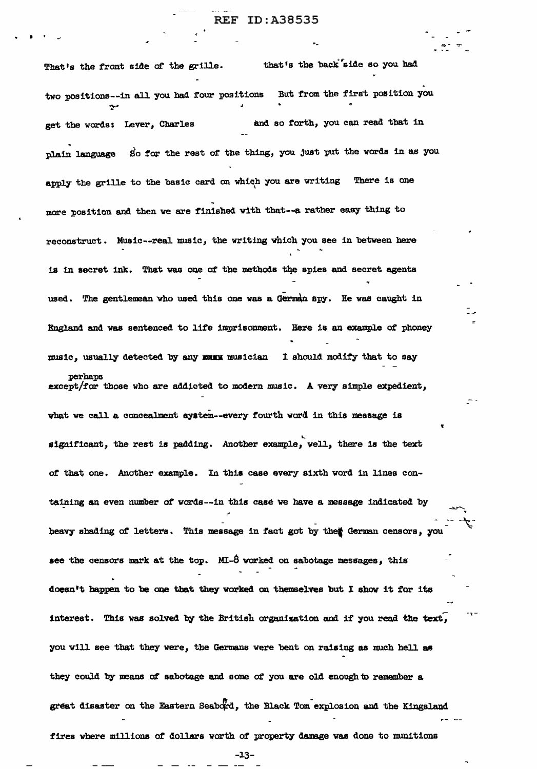• •

That's the front side of the grille. that's the back side so you had two positions--in all you had four positions a But from the first position you get the words: Lever, Charles **&id** so forth, you can read that in plain language So for the rest of the thing, you just put the words in as you apply the grille to the basic card on which you are writing There is one more position and then we are finished with that--a rather easy thing to reconstruct. Music--reaJ. music, the writing which you eee in between here is in secret ink. That was one of the methods the spies and secret agents used. The gentlemean who used this one was a German spy. He was caught in England and was sentenced to life imprisonment. Here is an example of phoney music, usually detected by any musicum and ishould modify that to say perhaps except/for those who are addicted to modern music. A very simple expedient, what we call a concealment system--every fourth word in this message is significant, the rest is padding. Another example, well, there is the text of that one. Another example. In this case every sixth word in lines containing an even number of words--in this case we have a message indicated by heavy shading of letters. This message in fact got by the ederman censors, you see the censors mark at the top. MI- $\dot{\theta}$  worked on sabotage messages, this doesn't happen to be one that they worked on themselves but I show it for its interest. This was solved by the British organization and if you read the text, you will see that they were, the Germans were bent on raising as much hell as they could by means of sabotage and some of you are old enough to remember a great disaster on the Eastern Seabord, the Black Tom explosion and the Kingsland fires where millions at dollars worth *ot* property damage was done to munitions

-l.3-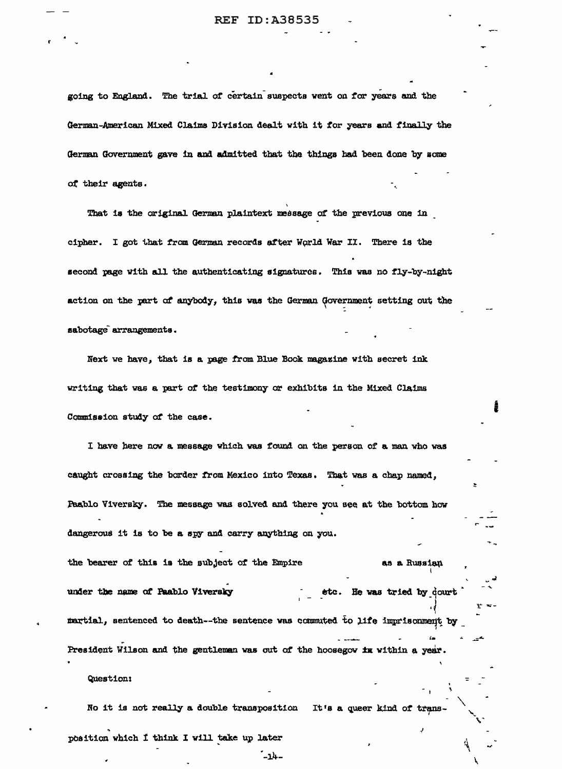going to England. The trial of certain suspects went on for years and the German-American Mixed Claims Division dealt with it for years and finally the German Government gave in and admitted that the things had been done by some of their agents.

That is the original German plaintext message of the previous one in cipher. I got that from German records after World War II. There is the second page with all the authenticating signatures. This was no fly-by-night action on the part of anybody, this was the German Government setting out the sabotage arrangements.

Next we have, that is a page from Blue Book magazine with secret ink writing that was a part of the testimony or exhibits in the Mixed Claims Commission study of the case.

I have here now a message which was found on the person of a man who was caught crossing the border from Mexico into Texas. That was a chap named, Paablo Viversky. The message was solved and there you see at the bottom how dangerous it is to be a spy and carry anything on you.

the bearer of this is the subject of the Empire as a Russian under the name of Paablo Viversky etc. He was tried by dourt martial, sentenced to death--the sentence was commuted to life imprisonment by President Wilson and the gentleman was out of the hoosegow in within a year.

### Question:

No it is not really a double transposition It's a queer kind of trans-

position which I think I will take up later

 $-14-$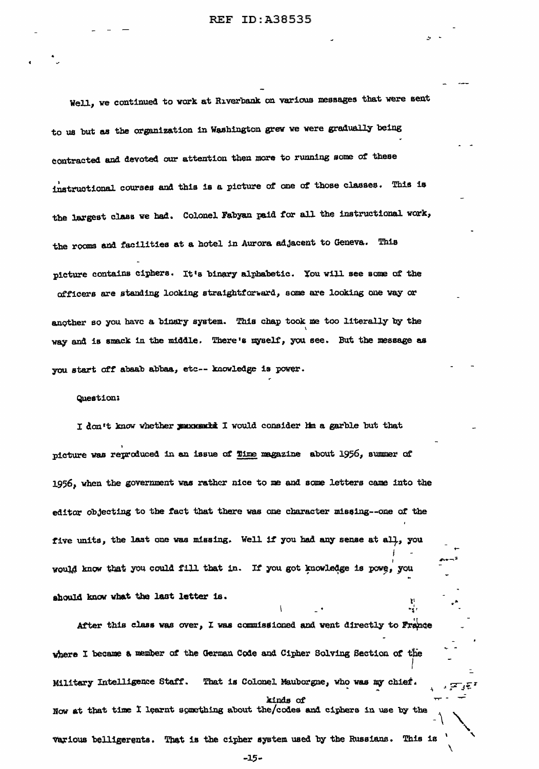Well, we continued to work at Riverbank on various messages that were sent to us but as the orpnization 1n Washington grev we were gradually being contracted and devoted our attention then more to running some of these instructional courses and this is a picture of one of those classes. This is the largest class we had. Colonel Fabyan paid for all the instructional work, the rooms and facilities at a hotel in Aurora adjacent to Geneva. This picture contains ciphers. It's binary alphabetic. You will see some of the officers are standing looking straightforward, some are looking one way or another so you have a binary system. This chap took me too literally by the way and is smack in the middle. There's myself, you see. But the message as you start off abaab abbaa, etc -- knowledge is power.

Question:<br>I don't know whether poux surfa I would consider him a garble but that. 1 picture was reproduced in an issue of Time magazine about 1956, summer of 1956, when the government was rather nice to me and some letters came into the editor obJecting to the f'act tbat there was one character misoing--one *ot* the five units, the last one was missing. Well if you had any sense at all, you. ' ,.. .. -;.~ vould know that you could fill that in. If you got knowledge is powe, you should know what the last letter is.

After this class was over, I was commissioned and went directly to France where I became a member of the German Code and Cipher Solving Section of the I Military Intelligence Staff. That is Colonel Mauborgne, who was my chief. kinds of Now at that time I learnt something about the/codes and ciphers in use by the Various belligerents. That is the cipher system used by the Russians. This is

-~I

....

 $\checkmark$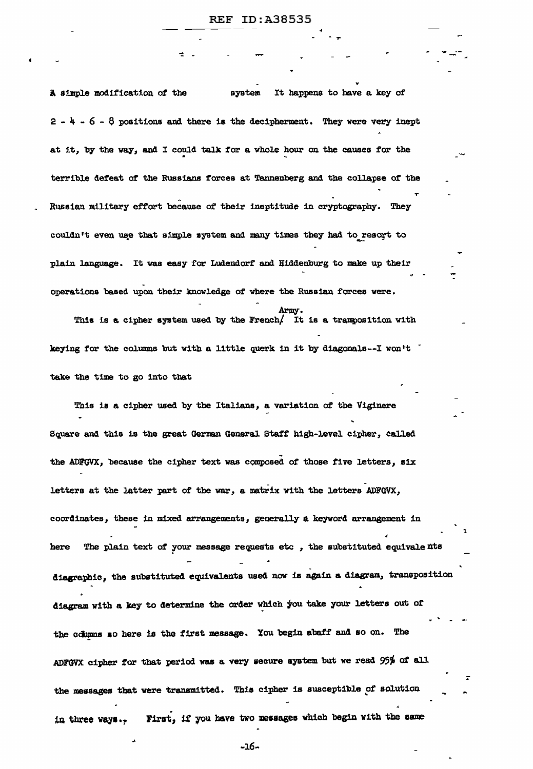A simple modification of the system It happens to have a key of  $2 - 4 - 6 - 8$  positions and there is the decipherment. They were very inept at it, by the way, and I could talk for a whole hour on the causes for the terrible deteat *ot* the Russians forces at Tannenberg and the collapse of the T Russian military effort because of their ineptitude in cryptography. They couldn't even use that simple system and many times they had to resort to plain language. It was easy for Ludendorf and Hiddenburg to make up their - operations based upon their knowledge *ot* where the Russian forces were.

- Arruy. Army.<br>This is a cipher system used by the French/ It is a tranposition with keying for the columns but with a little querk in it by diagonals--I won't take the time to go into that

This ia a cipher used by the Italians, a variation of the Viginere Square and this is the great German General. Staff' high-level cipher, Called the ADFGVX, because the cipher text was composed of those five letters, six letters at the latter part of the war, a matrix with the letters ADFGVX, coordinates, these in mixed arrangements, generally a keyword arrangement in here The plain text of your message requests etc, the substituted equivalents diagraphic, the substituted equivalents used now is again a diagram, transposition diagram with a key to determine the order which you take your letters out of the columns so here is the first message. You begin abaff and so on. The ADFGVX cipher for that period was a very secure system but we read 95% of all the messages that were transmitted. Thia cipher is susceptible *pt* solution in three ways.<sub>?</sub> First, if you have two messages which begin with the same

 $-16$ -

..

~ .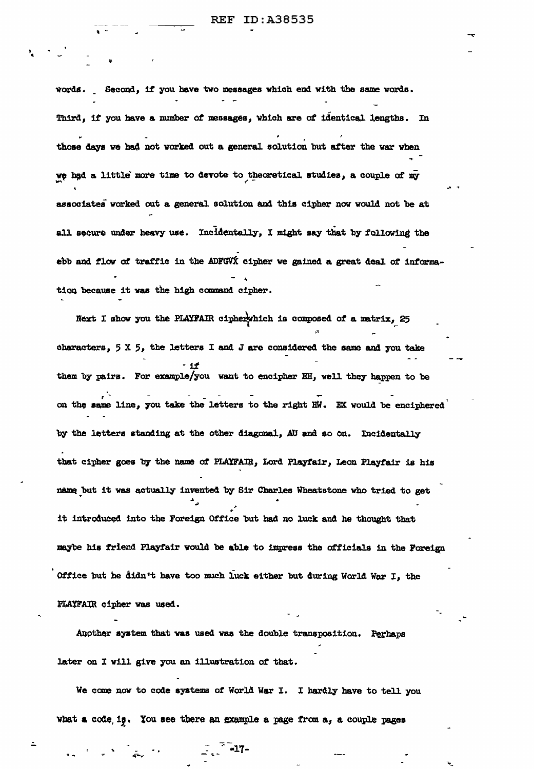words. Second, if you have two messages which end with the same words. Third, if you have a number of messages, which are of identical lengths. In those days we had not worked out a general solution but after the war when we had a little more time to devote to theoretical studies, a couple of my associates worked out a general solution and this cipher now would not be at all secure under heavy use. Incidentally, I might say that by following the ebb and flow of traffic in the ADFGVX cipher we gained a great deal of information because it was the high command cipher.

Next I show you the PLAYFAIR cipherwhich is composed of a matrix, 25 characters, 5 X 5, the letters I and J are considered the same and you take - 11 them by pairs. For example/you want to encipher EH, well they happen to be on the same line, you take the letters to the right HW. EX would be enciphered by the letters standing at the other diagonal, AU and so on. Incidentally that cipher goes by the name of PLAYFAIR, Lord Playfair, Leon Playfair is his name but it was actually invented by Sir Charles Wheatstone who tried to get it introduced into the Foreign Office but had no luck and he thought that maybe his friend Playfair would be able to impress the officials in the Foreign Office but he didn't have too much luck either but during World War I, the PLAYFAIR cipher was used.

Aucther system that was used was the double transposition. Perhaps later on I will give you an illustration of that.

We come now to code systems of World War I. I hardly have to tell you what a code is. You see there an example a page from a, a couple pages

 $\sum_{n=1}^{\infty}$  =17-

 $\mathcal{L} = \frac{1}{2} \sum_{i=1}^{n} \frac{1}{i} \sum_{i=1}^{n} \frac{1}{i} \sum_{i=1}^{n} \frac{1}{i} \sum_{i=1}^{n} \frac{1}{i} \sum_{i=1}^{n} \frac{1}{i} \sum_{i=1}^{n} \frac{1}{i} \sum_{i=1}^{n} \frac{1}{i} \sum_{i=1}^{n} \frac{1}{i} \sum_{i=1}^{n} \frac{1}{i} \sum_{i=1}^{n} \frac{1}{i} \sum_{i=1}^{n} \frac{1}{i} \sum_{i=1}^{n} \frac{1}{i} \sum$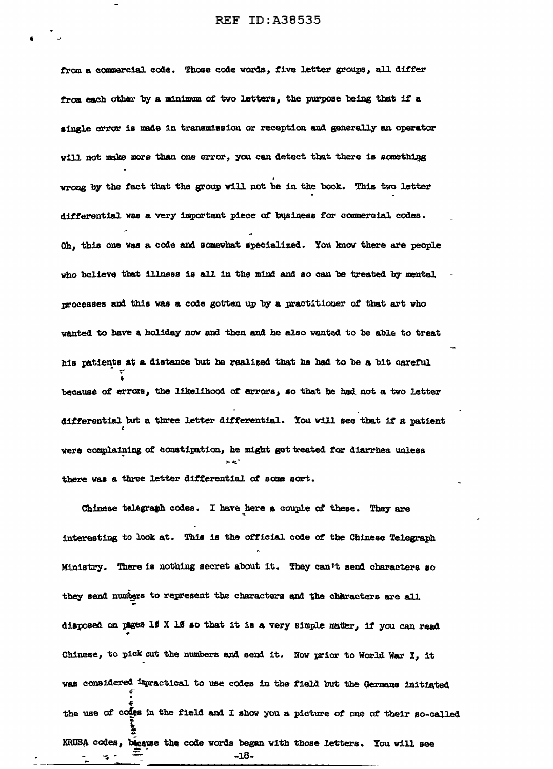from a commercial code. Those code words, five letter groups, all differ from each other by a minimum of two letters, the purpose being that if a single error is made in transmission or reception and generally an operator will not make more than one error, you can detect that there is something wrong by the fact that the group will not be in the book. This two letter differential was a very important piece of business for commercial codes. Oh, this one was a code and somewhat specialized. You know there are people who believe that illness is all in the mind and so can be treated by mental processes and this was a code gotten up by a practitioner of that art who wanted to have a holiday now and then and he also wanted to be able to treat his patients at a distance but he realized that he had to be a bit careful because of errors, the likelihood of errors, so that he had not a two letter differential but a three letter differential. You will see that if a patient were complaining of constipation, he might get treated for diarrhea unless there was a three letter differential of some sort.

Chinese telegramh codes. I have here a couple of these. They are interesting to look at. This is the official code of the Chinese Telegraph Ministry. There is nothing secret about it. They can't send characters so they send numbers to represent the characters and the characters are all disposed on pages 19 X 19 so that it is a very simple matter, if you can read Chinese, to pick out the numbers and send it. Now prior to World War I, it was considered immactical to use codes in the field but the Germans initiated the use of codes in the field and I show you a picture of one of their so-called KRUSA codes, because the code words began with those letters. You will see  $-18-$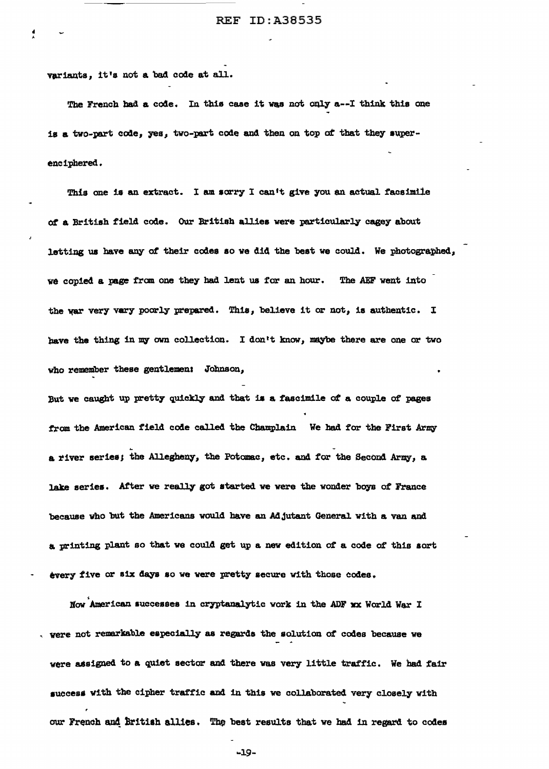variants, it's not a bad code at all.

 $\mathbf{r}$ 

-------------

The French bad a code. In this case it was not only a--I think this one is a two-part code, yes, two-part code and then on top of that they superenciphered.

This one is an extract. I am sorry I can't give you an actual facsimile of a British field code. Our British allies were particularly cagey about letting us have any ot their codes ao we did the beat we could. We photographed, we copied a page from one they had lent us for an hour. The AEF went into the war very vary poorly prepared. This, believe it or not, is authentic. I have the thing in my own collection. I don't know, maybe there are one or two who remember these gentlemen: Johnson, But we caught up pretty quickly and that is a fascimile of a couple of pages from the American field code called the Champlain We had for the First Army a river series; the Allegheny, the Potomac, etc. and for the Second Army, a. lake series. After we really got started we were the wonder boys of France because who but the Americans would have an Adjutant General with a van and a. printing plant so that we could get up a new edition of a code of this aort every five or six days so we were pretty secure with those codes.

Now <sup>'</sup>American successes in cryptanalytic work in the ADF xx World War I were not remarkable especially as regards the solution of codes because we were assigned to a quiet sector and there was very little traffic. We had fair success with the cipher traffic and in this we collaborated very closely with our French and British allies. The best results that we had in regard to codes

... 19-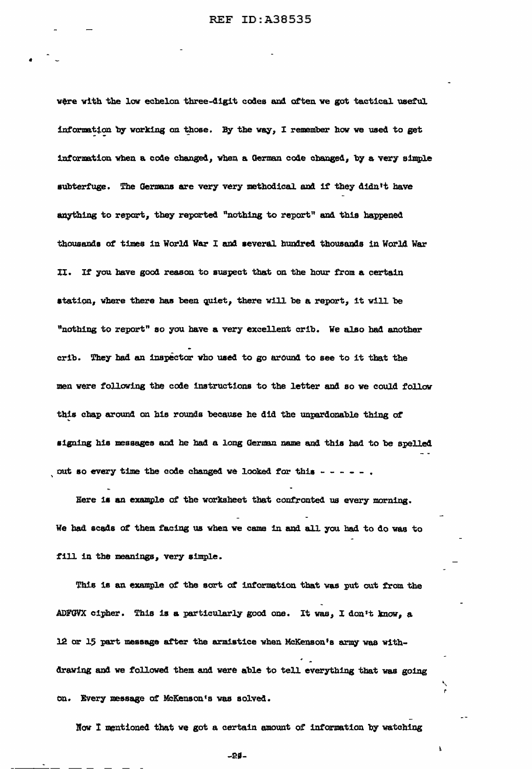•

vere with the low echelon three-digit codes and often we got tactical useful information by working on those. By the way, I remember how we used to get information when a code changed, when a German code changed, by a very simple subterfuge. The Germans are very very methodical and if they didn't have anything to report, they reported "nothing to report" and this happened thousands of times in World War I and several hundred thousands in World War II. If you have good reason to suspect that on the hour from a certain station, where there has been quiet, there will be a report, it will be "nothing to report" so you have a very excellent crib. We also had another crib. They had an inspector who used to go around to see to it that the men were following the code instructions to the letter and so we could follow this cbap around on h1s rounds because he did the unpardonable thing *or* .. signing his messages and he had a long German name and this had to be spelled out so every time the code changed we looked for this  $- - - - -$ 

Here is an example of the worksheet that confronted us every morning. We had scads of them facing us when we came in and all you had to do was to fill in the meanings, very simple.

This is an example of the sort of information that was put out from the ADFGVX cipher. This is a particularly good one. It was, I don't know, a 12 or 15 part message after the armistice when McKenson's army was withdrawing and we followed them and were able to tell everything that was going on. Every message of McKenson's was solved.

Now I mentioned that we got a certain amount of information by watching

 $\pmb{\lambda}$ 

 $-29-$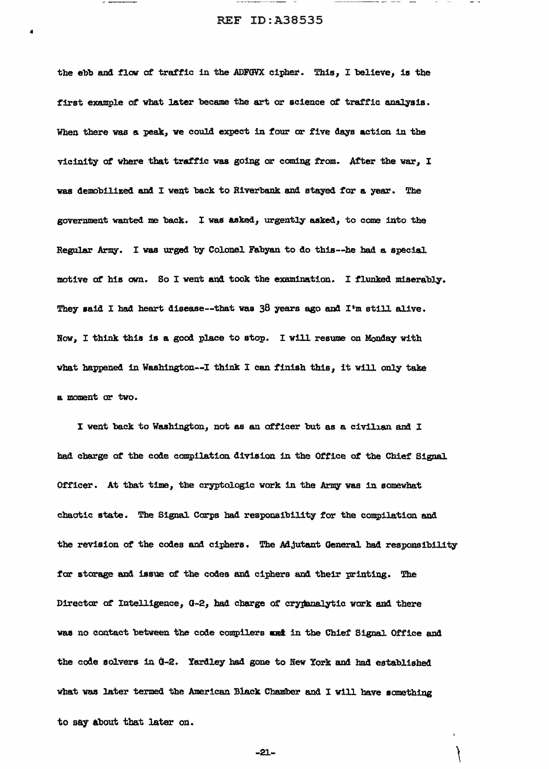------ -- --

..

the ebb and flow of traffic in the ADFGVX cipher. This, I believe, is the first example of what later became the art or science of traffic analysis. When there was a peak, we could expect in four or five days action in the vicinity of where that traffic was going or coming from. After the war, I was demobilized and I went back to Riverbank and stayed for a year. The government wanted me back. I was asked, urgently asked, to come into the Regular Army. I was urged by Colonel Fabyan to do this--he had a special motive *at* his own. Bo I went and took the examination. I flunked miserably. They said I had heart disease--that was 38 years ago and I'm still alive. Now, I think this is a good place to stop. I will resume on Monday with what happened in Washington--I think I can finish this, it will only take a moment *or* two.

I went back to Washington, not as an officer but as a civilian and I had charge of' the code compilation division in the Of'tice *ot* the Chief Signal. Officer. At that time, the cryptologic work in the Army was in somewhat chaotic state. The Signal Corps had responsibility for the compilation and the revision of the codes and ciphers. The Adjutant General had responsibility for storage and issue of the codes and ciphers and their printing. The Director of Intelligence, G-2, had charge of crypanalytic work and there was no contact between the code compilers and in the Chief Signal Office and the code solvers in  $d-2$ . Yardley had gone to New York and had established what was later termed the American Black Chamber and I will have something to say about that later on.

-21.-

 $\bar{\mathbf{r}}$ 

 $\mathcal{L}$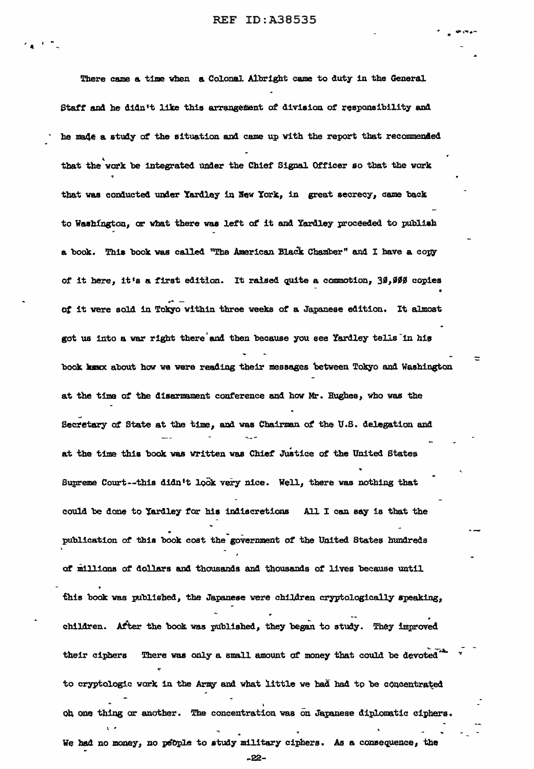There came a time when a Colonal Albright came to duty in the General Staff and he didn't like this arrangement of division of responsibility and he made a study of the situation and came up with the report that recommended that the work be integrated under the Chief Signal Officer so that the work that was conducted under Yardley in New York, in great secrecy, came back to Washington, or what there was left of it and Yardley proceeded to publish a book. This book was called "The American Black Chamber" and I have a copy of it here, it's a first edition. It raised quite a commotion, 30,000 copies of it were sold in Tokyo within three weeks of a Japanese edition. It almost got us into a war right there and then because you see Yardley tells in his book knox about how we were reading their messages between Tokyo and Washington at the time of the disarmament conference and how Mr. Hughes, who was the Secretary of State at the time, and was Chairman of the U.S. delegation and at the time this book was written was Chief Justice of the United States Supreme Court--this didn't look very nice. Well, there was nothing that could be done to Yardley for his indiscretions All I can say is that the publication of this book cost the government of the United States hundreds of millions of dollars and thousands and thousands of lives because until this book was published, the Japanese were children cryptologically speaking, children. After the book was published, they began to study. They improved There was only a small amount of money that could be devoted. their ciphers to cryptologic work in the Army and what little we had had to be concentrated oh one thing or another. The concentration was on Japanese diplomatic ciphers. We had no money, no people to study military ciphers. As a consequence, the

-22-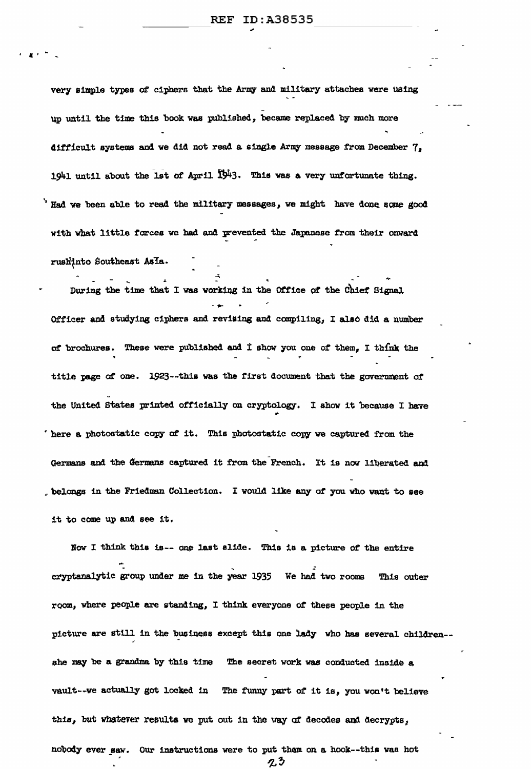very simple types of ciphers that the Army and military attaches were using up until the time this book was published, became replaced by much more difficult systems and we did not read a single Army message from December 7, 1941 until about the 1st of April 1943. This was a very unfortunate thing. Had we been able to read the military messages, we might have done some good with what little forces we had and prevented the Japanese from their onward rushinto Southeast Asla.

During the time that I was working in the Office of the Chief Signal Officer and studying ciphers and revising and compiling, I also did a number of brochures. These were published and I show you one of them, I think the title page of one. 1923--this was the first document that the government of the United States printed officially on cryptology. I show it because I have here a photostatic copy of it. This photostatic copy we captured from the Germans and the Germans captured it from the French. It is now liberated and belongs in the Friedman Collection. I would like any of you who want to see it to come up and see it.

Now I think this is-- one last slide. This is a picture of the entire cryptanalytic group under me in the year 1935 We had two rooms This outer room, where people are standing, I think everyone of these people in the picture are still in the business except this one lady who has several children-she may be a grandma by this time The secret work was conducted inside a vault--we actually got locked in The funny part of it is, you won't believe this, but whatever results we put out in the way of decodes and decrypts, nobody ever saw. Our instructions were to put them on a hook--this was hot

クシ